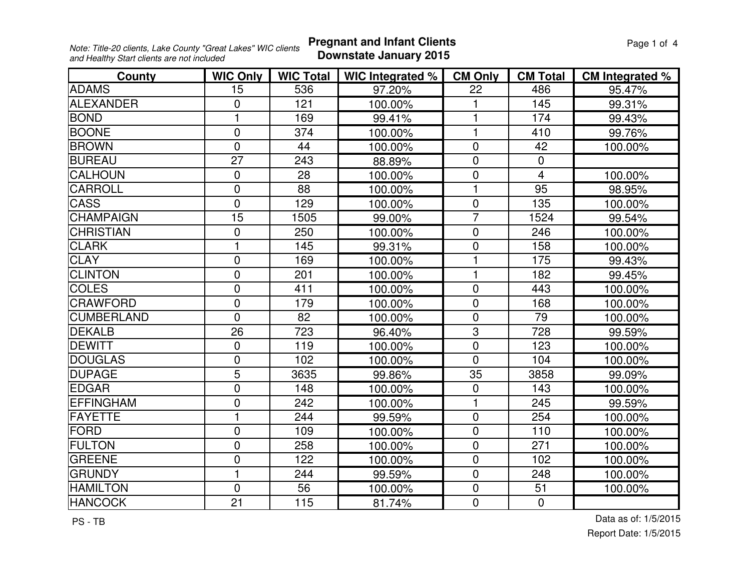**Pregnant and Infant Clients Page 1 of 4 Downstate January 2015**

| County            | <b>WIC Only</b> | <b>WIC Total</b> | WIC Integrated % | <b>CM Only</b> | <b>CM Total</b> | <b>CM Integrated %</b> |
|-------------------|-----------------|------------------|------------------|----------------|-----------------|------------------------|
| <b>ADAMS</b>      | 15              | 536              | 97.20%           | 22             | 486             | 95.47%                 |
| <b>ALEXANDER</b>  | 0               | 121              | 100.00%          |                | 145             | 99.31%                 |
| <b>BOND</b>       | 1               | 169              | 99.41%           | 1              | 174             | 99.43%                 |
| <b>BOONE</b>      | $\mathbf 0$     | 374              | 100.00%          | $\mathbf{1}$   | 410             | 99.76%                 |
| <b>BROWN</b>      | $\overline{0}$  | 44               | 100.00%          | $\mathbf 0$    | 42              | 100.00%                |
| <b>BUREAU</b>     | $\overline{27}$ | 243              | 88.89%           | $\mathbf 0$    | $\mathbf 0$     |                        |
| <b>CALHOUN</b>    | $\mathbf 0$     | 28               | 100.00%          | $\mathbf 0$    | $\overline{4}$  | 100.00%                |
| <b>CARROLL</b>    | $\overline{0}$  | 88               | 100.00%          | $\mathbf{1}$   | 95              | 98.95%                 |
| <b>CASS</b>       | $\overline{0}$  | 129              | 100.00%          | $\overline{0}$ | 135             | 100.00%                |
| <b>CHAMPAIGN</b>  | 15              | 1505             | 99.00%           | $\overline{7}$ | 1524            | 99.54%                 |
| <b>CHRISTIAN</b>  | $\mathbf 0$     | 250              | 100.00%          | $\pmb{0}$      | 246             | 100.00%                |
| <b>CLARK</b>      | 1               | 145              | 99.31%           | $\mathbf 0$    | 158             | 100.00%                |
| <b>CLAY</b>       | $\mathbf 0$     | 169              | 100.00%          | 1              | 175             | 99.43%                 |
| <b>CLINTON</b>    | $\overline{0}$  | 201              | 100.00%          | $\mathbf{1}$   | 182             | 99.45%                 |
| <b>COLES</b>      | $\mathbf 0$     | 411              | 100.00%          | $\mathbf 0$    | 443             | 100.00%                |
| <b>CRAWFORD</b>   | $\overline{0}$  | 179              | 100.00%          | $\overline{0}$ | 168             | 100.00%                |
| <b>CUMBERLAND</b> | $\overline{0}$  | 82               | 100.00%          | $\mathbf 0$    | 79              | 100.00%                |
| DEKALB            | 26              | 723              | 96.40%           | $\overline{3}$ | 728             | 99.59%                 |
| DEWITT            | $\overline{0}$  | 119              | 100.00%          | $\mathbf 0$    | 123             | 100.00%                |
| <b>DOUGLAS</b>    | $\overline{0}$  | 102              | 100.00%          | $\overline{0}$ | 104             | 100.00%                |
| <b>DUPAGE</b>     | 5               | 3635             | 99.86%           | 35             | 3858            | 99.09%                 |
| <b>EDGAR</b>      | $\mathbf 0$     | 148              | 100.00%          | $\overline{0}$ | 143             | 100.00%                |
| <b>EFFINGHAM</b>  | $\mathbf 0$     | 242              | 100.00%          | 1              | 245             | 99.59%                 |
| FAYETTE           | $\mathbf{1}$    | 244              | 99.59%           | $\mathbf 0$    | 254             | 100.00%                |
| <b>FORD</b>       | $\overline{0}$  | 109              | 100.00%          | $\overline{0}$ | 110             | 100.00%                |
| <b>FULTON</b>     | $\mathbf 0$     | 258              | 100.00%          | $\pmb{0}$      | 271             | 100.00%                |
| <b>GREENE</b>     | $\overline{0}$  | 122              | 100.00%          | $\overline{0}$ | 102             | 100.00%                |
| <b>GRUNDY</b>     | $\mathbf{1}$    | 244              | 99.59%           | $\overline{0}$ | 248             | 100.00%                |
| <b>HAMILTON</b>   | $\mathbf 0$     | 56               | 100.00%          | $\mathbf 0$    | 51              | 100.00%                |
| <b>HANCOCK</b>    | 21              | 115              | 81.74%           | $\mathbf 0$    | $\mathbf{0}$    |                        |

PS - TB

Report Date: 1/5/2015Data as of: 1/5/2015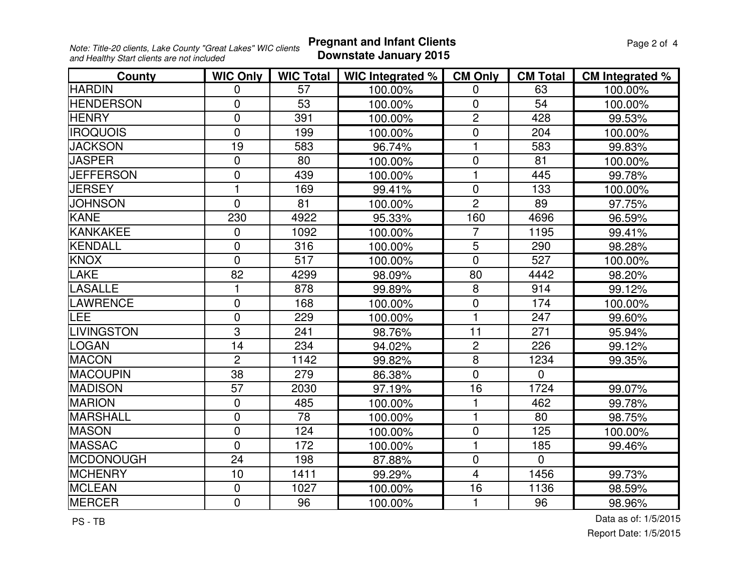**Pregnant and Infant Clients Page 2 of 4 Page 2 of 4 Downstate January 2015**

| County             | <b>WIC Only</b> | <b>WIC Total</b> | WIC Integrated % | <b>CM Only</b> | <b>CM Total</b> | CM Integrated % |
|--------------------|-----------------|------------------|------------------|----------------|-----------------|-----------------|
| <b>HARDIN</b>      | 0               | 57               | 100.00%          | 0              | 63              | 100.00%         |
| <b>HENDERSON</b>   | $\overline{0}$  | 53               | 100.00%          | $\mathbf 0$    | 54              | 100.00%         |
| <b>HENRY</b>       | $\overline{0}$  | 391              | 100.00%          | $\overline{c}$ | 428             | 99.53%          |
| <b>IROQUOIS</b>    | $\overline{0}$  | 199              | 100.00%          | $\mathbf 0$    | 204             | 100.00%         |
| <b>JACKSON</b>     | 19              | 583              | 96.74%           | 1              | 583             | 99.83%          |
| <b>JASPER</b>      | $\Omega$        | 80               | 100.00%          | $\overline{0}$ | 81              | 100.00%         |
| <b>JEFFERSON</b>   | $\pmb{0}$       | 439              | 100.00%          | 1              | 445             | 99.78%          |
| <b>JERSEY</b>      | 1               | 169              | 99.41%           | $\mathbf 0$    | 133             | 100.00%         |
| <b>JOHNSON</b>     | $\mathbf{0}$    | 81               | 100.00%          | $\overline{2}$ | 89              | 97.75%          |
| <b>KANE</b>        | 230             | 4922             | 95.33%           | 160            | 4696            | 96.59%          |
| <b>KANKAKEE</b>    | $\mathbf 0$     | 1092             | 100.00%          | $\overline{7}$ | 1195            | 99.41%          |
| KENDALL            | $\overline{0}$  | 316              | 100.00%          | $\overline{5}$ | 290             | 98.28%          |
| <b>KNOX</b>        | $\overline{0}$  | 517              | 100.00%          | $\overline{0}$ | 527             | 100.00%         |
| <b>LAKE</b>        | 82              | 4299             | 98.09%           | 80             | 4442            | 98.20%          |
| LASALLE            |                 | 878              | 99.89%           | 8              | 914             | 99.12%          |
| LAWRENCE           | $\overline{0}$  | 168              | 100.00%          | $\mathbf 0$    | 174             | 100.00%         |
| LEE                | $\overline{0}$  | 229              | 100.00%          | 1              | 247             | 99.60%          |
| <b>ILIVINGSTON</b> | 3               | 241              | 98.76%           | 11             | 271             | 95.94%          |
| LOGAN              | 14              | 234              | 94.02%           | $\overline{2}$ | 226             | 99.12%          |
| <b>MACON</b>       | $\overline{2}$  | 1142             | 99.82%           | 8              | 1234            | 99.35%          |
| <b>MACOUPIN</b>    | 38              | 279              | 86.38%           | $\mathbf 0$    | $\mathbf{0}$    |                 |
| <b>MADISON</b>     | 57              | 2030             | 97.19%           | 16             | 1724            | 99.07%          |
| <b>MARION</b>      | $\mathbf 0$     | 485              | 100.00%          | 1              | 462             | 99.78%          |
| MARSHALL           | $\overline{0}$  | 78               | 100.00%          | 1              | 80              | 98.75%          |
| <b>MASON</b>       | $\overline{0}$  | 124              | 100.00%          | $\mathbf 0$    | 125             | 100.00%         |
| <b>MASSAC</b>      | $\mathbf 0$     | 172              | 100.00%          | $\mathbf{1}$   | 185             | 99.46%          |
| <b>MCDONOUGH</b>   | 24              | 198              | 87.88%           | $\mathbf 0$    | $\Omega$        |                 |
| <b>MCHENRY</b>     | 10              | 1411             | 99.29%           | $\overline{4}$ | 1456            | 99.73%          |
| <b>MCLEAN</b>      | $\mathbf 0$     | 1027             | 100.00%          | 16             | 1136            | 98.59%          |
| <b>MERCER</b>      | $\mathbf 0$     | 96               | 100.00%          | 1              | 96              | 98.96%          |

PS - TB

Report Date: 1/5/2015Data as of: 1/5/2015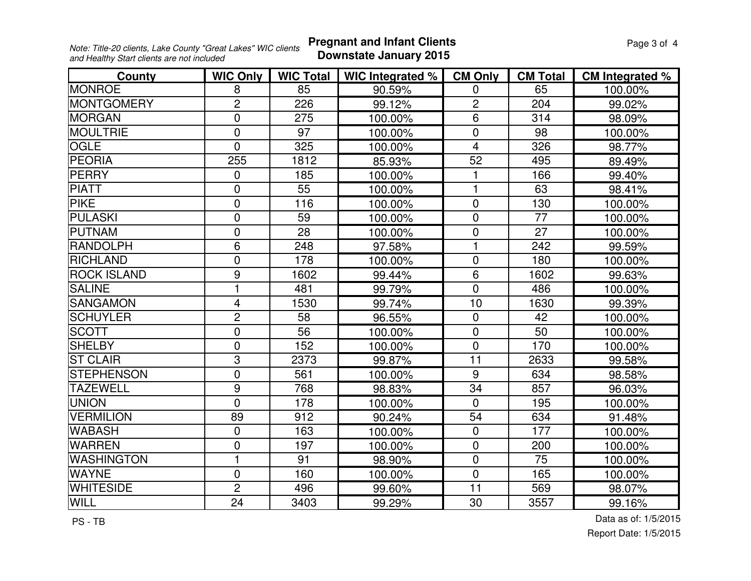**Pregnant and Infant Clients Page 3 of 4 Page 3 of 4 Downstate January 2015**

| County             | <b>WIC Only</b> | <b>WIC Total</b> | WIC Integrated % | <b>CM Only</b>  | <b>CM Total</b> | CM Integrated % |
|--------------------|-----------------|------------------|------------------|-----------------|-----------------|-----------------|
| <b>MONROE</b>      | 8               | 85               | 90.59%           | $\mathbf 0$     | 65              | 100.00%         |
| <b>MONTGOMERY</b>  | $\overline{2}$  | 226              | 99.12%           | $\overline{c}$  | 204             | 99.02%          |
| <b>MORGAN</b>      | $\mathbf{0}$    | 275              | 100.00%          | $\overline{6}$  | 314             | 98.09%          |
| <b>MOULTRIE</b>    | $\overline{0}$  | 97               | 100.00%          | $\mathbf 0$     | 98              | 100.00%         |
| <b>OGLE</b>        | $\Omega$        | 325              | 100.00%          | $\overline{4}$  | 326             | 98.77%          |
| <b>PEORIA</b>      | 255             | 1812             | 85.93%           | $\overline{52}$ | 495             | 89.49%          |
| PERRY              | $\mathbf 0$     | 185              | 100.00%          | 1               | 166             | 99.40%          |
| <b>PIATT</b>       | $\overline{0}$  | 55               | 100.00%          | 1               | 63              | 98.41%          |
| <b>PIKE</b>        | $\overline{0}$  | 116              | 100.00%          | $\overline{0}$  | 130             | 100.00%         |
| <b>PULASKI</b>     | $\overline{0}$  | 59               | 100.00%          | $\overline{0}$  | 77              | 100.00%         |
| <b>PUTNAM</b>      | $\mathbf 0$     | 28               | 100.00%          | $\mathbf 0$     | 27              | 100.00%         |
| <b>RANDOLPH</b>    | 6               | 248              | 97.58%           | 1               | 242             | 99.59%          |
| <b>RICHLAND</b>    | $\mathbf 0$     | 178              | 100.00%          | $\mathbf 0$     | 180             | 100.00%         |
| <b>ROCK ISLAND</b> | 9               | 1602             | 99.44%           | $\overline{6}$  | 1602            | 99.63%          |
| <b>SALINE</b>      | 1               | 481              | 99.79%           | $\overline{0}$  | 486             | 100.00%         |
| <b>SANGAMON</b>    | $\overline{4}$  | 1530             | 99.74%           | 10              | 1630            | 99.39%          |
| <b>SCHUYLER</b>    | $\overline{2}$  | 58               | 96.55%           | $\mathbf 0$     | 42              | 100.00%         |
| <b>SCOTT</b>       | $\overline{0}$  | 56               | 100.00%          | $\mathbf 0$     | 50              | 100.00%         |
| <b>SHELBY</b>      | $\overline{0}$  | 152              | 100.00%          | $\mathbf 0$     | 170             | 100.00%         |
| <b>ST CLAIR</b>    | 3               | 2373             | 99.87%           | 11              | 2633            | 99.58%          |
| <b>STEPHENSON</b>  | $\overline{0}$  | 561              | 100.00%          | 9               | 634             | 98.58%          |
| <b>TAZEWELL</b>    | 9               | 768              | 98.83%           | 34              | 857             | 96.03%          |
| <b>UNION</b>       | $\overline{0}$  | 178              | 100.00%          | $\mathbf 0$     | 195             | 100.00%         |
| <b>VERMILION</b>   | 89              | 912              | 90.24%           | 54              | 634             | 91.48%          |
| <b>WABASH</b>      | $\overline{0}$  | 163              | 100.00%          | $\overline{0}$  | 177             | 100.00%         |
| <b>WARREN</b>      | $\mathbf 0$     | 197              | 100.00%          | $\mathbf 0$     | 200             | 100.00%         |
| <b>WASHINGTON</b>  | 1               | 91               | 98.90%           | $\overline{0}$  | 75              | 100.00%         |
| <b>WAYNE</b>       | $\mathbf 0$     | 160              | 100.00%          | $\mathbf 0$     | 165             | 100.00%         |
| <b>WHITESIDE</b>   | $\overline{2}$  | 496              | 99.60%           | 11              | 569             | 98.07%          |
| <b>WILL</b>        | 24              | 3403             | 99.29%           | 30              | 3557            | 99.16%          |

PS - TB

Report Date: 1/5/2015Data as of: 1/5/2015